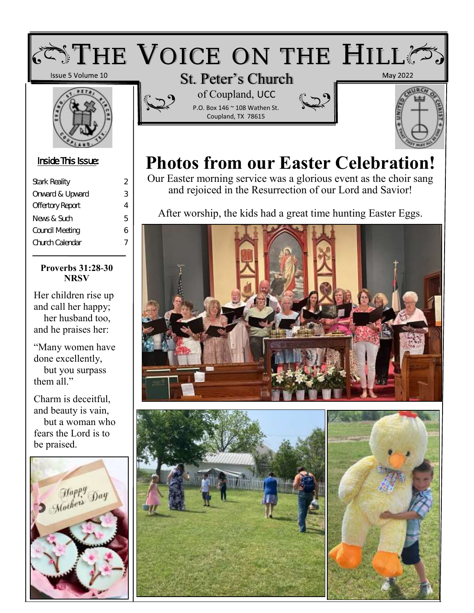## $\zeta$  of  $T$  HE VOICE ON THE HILL  $\zeta$

Issue 5 Volume 10



#### Inside This Issue:

| <b>Stark Reality</b>    | 2 |
|-------------------------|---|
| Onward & Upward         | З |
| <b>Offertory Report</b> | 4 |
| News & Such             | 5 |
| Council Meeting         | 6 |
| Church Calendar         | 7 |
|                         |   |

#### **Proverbs 31:28-30 NRSV**

Her children rise up and call her happy; her husband too, and he praises her:

"Many women have done excellently, but you surpass them all."

Charm is deceitful, and beauty is vain, but a woman who fears the Lord is to be praised.





P.O. Box 146 ~ 108 Wathen St. Coupland, TX 78615





## **Photos from our Easter Celebration!**

Our Easter morning service was a glorious event as the choir sang and rejoiced in the Resurrection of our Lord and Savior!

After worship, the kids had a great time hunting Easter Eggs.





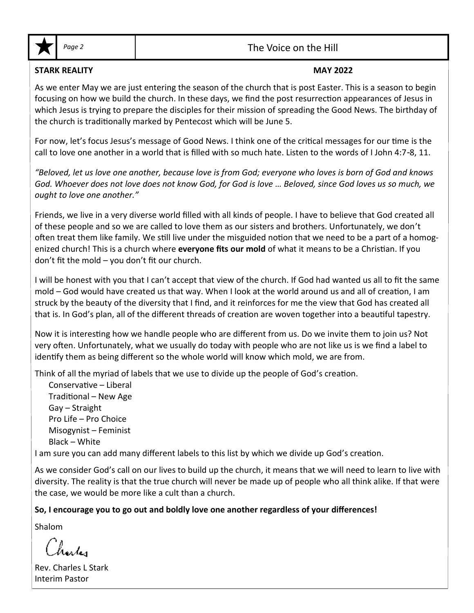

#### Page 2 and 1 and 1 and 2 and 2 and 2 and 2 and 2 and 2 and 2 and 2 and 2 and 2 and 2 and 2 and 2 and 2 and 2 and 2 and 2 and 2 and 2 and 2 and 2 and 2 and 2 and 2 and 2 and 2 and 2 and 2 and 2 and 2 and 2 and 2 and 2 and 2

#### **STARK REALITY MAY 2022**

As we enter May we are just entering the season of the church that is post Easter. This is a season to begin focusing on how we build the church. In these days, we find the post resurrection appearances of Jesus in which Jesus is trying to prepare the disciples for their mission of spreading the Good News. The birthday of the church is traditionally marked by Pentecost which will be June 5.

For now, let's focus Jesus's message of Good News. I think one of the critical messages for our time is the call to love one another in a world that is filled with so much hate. Listen to the words of I John 4:7-8, 11.

*"Beloved, let us love one another, because love is from God; everyone who loves is born of God and knows God. Whoever does not love does not know God, for God is love … Beloved, since God loves us so much, we ought to love one another."*

Friends, we live in a very diverse world filled with all kinds of people. I have to believe that God created all of these people and so we are called to love them as our sisters and brothers. Unfortunately, we don't often treat them like family. We still live under the misguided notion that we need to be a part of a homogenized church! This is a church where **everyone fits our mold** of what it means to be a Christian. If you don't fit the mold – you don't fit our church.

I will be honest with you that I can't accept that view of the church. If God had wanted us all to fit the same mold – God would have created us that way. When I look at the world around us and all of creation, I am struck by the beauty of the diversity that I find, and it reinforces for me the view that God has created all that is. In God's plan, all of the different threads of creation are woven together into a beautiful tapestry.

Now it is interesting how we handle people who are different from us. Do we invite them to join us? Not very often. Unfortunately, what we usually do today with people who are not like us is we find a label to identify them as being different so the whole world will know which mold, we are from.

Think of all the myriad of labels that we use to divide up the people of God's creation.

Conservative – Liberal Traditional – New Age Gay – Straight Pro Life – Pro Choice Misogynist – Feminist Black – White

I am sure you can add many different labels to this list by which we divide up God's creation.

As we consider God's call on our lives to build up the church, it means that we will need to learn to live with diversity. The reality is that the true church will never be made up of people who all think alike. If that were the case, we would be more like a cult than a church.

#### **So, I encourage you to go out and boldly love one another regardless of your differences!**

Shalom

Rev. Charles L Stark Interim Pastor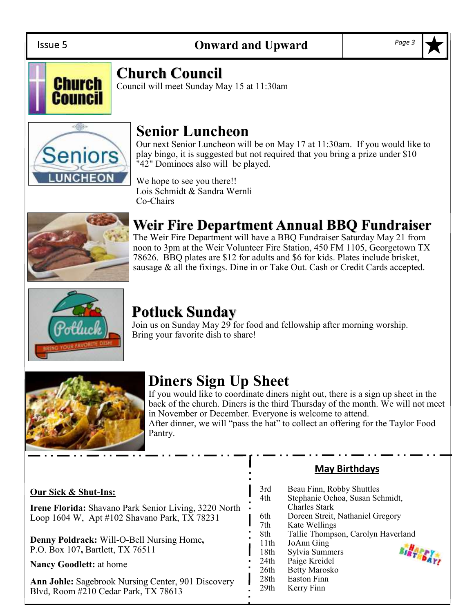Issue 5



### **Church Council**

Council will meet Sunday May 15 at 11:30am



## **Senior Luncheon**

Our next Senior Luncheon will be on May 17 at 11:30am. If you would like to play bingo, it is suggested but not required that you bring a prize under \$10 "42" Dominoes also will be played.

We hope to see you there!! Lois Schmidt & Sandra Wernli Co-Chairs



## **Weir Fire Department Annual BBQ Fundraiser**

The Weir Fire Department will have a BBQ Fundraiser Saturday May 21 from noon to 3pm at the Weir Volunteer Fire Station, 450 FM 1105, Georgetown TX 78626. BBQ plates are \$12 for adults and \$6 for kids. Plates include brisket, sausage & all the fixings. Dine in or Take Out. Cash or Credit Cards accepted.



## **Potluck Sunday**

Join us on Sunday May 29 for food and fellowship after morning worship. Bring your favorite dish to share!



## **Diners Sign Up Sheet**

If you would like to coordinate diners night out, there is a sign up sheet in the back of the church. Diners is the third Thursday of the month. We will not meet in November or December. Everyone is welcome to attend. After dinner, we will "pass the hat" to collect an offering for the Taylor Food

Pantry.

#### **Our Sick & Shut-Ins:**

**Irene Florida:** Shavano Park Senior Living, 3220 North Loop 1604 W, Apt #102 Shavano Park, TX 78231

**Denny Poldrack:** Will-O-Bell Nursing Home**,**  P.O. Box 107**,** Bartlett, TX 76511

**Nancy Goodlett:** at home

**Ann Johle:** Sagebrook Nursing Center, 901 Discovery Blvd, Room #210 Cedar Park, TX 78613

### **May Birthdays**

| 3rd<br>4th       | Beau Finn, Robby Shuttles<br>Stephanie Ochoa, Susan Schmidt,<br><b>Charles Stark</b> |          |
|------------------|--------------------------------------------------------------------------------------|----------|
| 6th              | Doreen Streit, Nathaniel Gregory                                                     |          |
| 7th              | Kate Wellings                                                                        |          |
| 8th              | Tallie Thompson, Carolyn Haverland                                                   |          |
| 11th             | JoAnn Ging                                                                           |          |
| 18th             | Sylvia Summers                                                                       | BIRT DAY |
| 24 <sub>th</sub> | Paige Kreidel                                                                        |          |
| 26th             | <b>Betty Marosko</b>                                                                 |          |
| 28th             | <b>Easton Finn</b>                                                                   |          |
| 29 <sub>th</sub> | Kerry Finn                                                                           |          |
|                  |                                                                                      |          |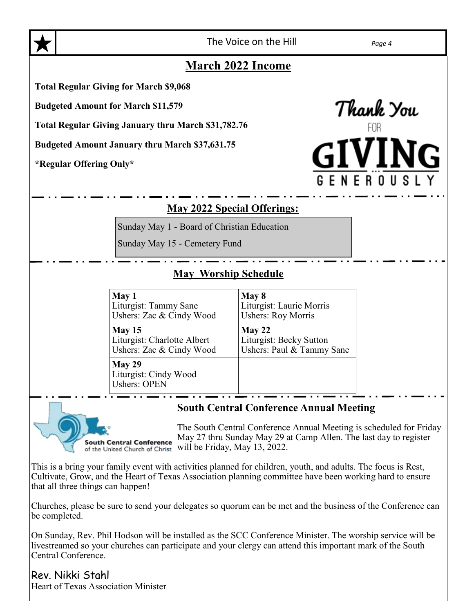

The Voice on the Hill *Page 4*

#### **March 2022 Income**

**Total Regular Giving for March \$9,068**

**Budgeted Amount for March \$11,579**

**Total Regular Giving January thru March \$31,782.76**

**Budgeted Amount January thru March \$37,631.75**

**\*Regular Offering Only\***



#### **May 2022 Special Offerings:**

Sunday May 1 - Board of Christian Education

Sunday May 15 - Cemetery Fund

#### **May Worship Schedule**

| May 1                                                  | May 8                     |
|--------------------------------------------------------|---------------------------|
| Liturgist: Tammy Sane                                  | Liturgist: Laurie Morris  |
| Ushers: Zac & Cindy Wood                               | <b>Ushers: Roy Morris</b> |
| May 15                                                 | May 22                    |
| Liturgist: Charlotte Albert                            | Liturgist: Becky Sutton   |
| Ushers: Zac & Cindy Wood                               | Ushers: Paul & Tammy Sane |
| May 29<br>Liturgist: Cindy Wood<br><b>Ushers: OPEN</b> |                           |

#### **South Central Conference Annual Meeting**



The South Central Conference Annual Meeting is scheduled for Friday May 27 thru Sunday May 29 at Camp Allen. The last day to register of the United Church of Christ will be Friday, May 13, 2022.

This is a bring your family event with activities planned for children, youth, and adults. The focus is Rest, Cultivate, Grow, and the Heart of Texas Association planning committee have been working hard to ensure that all three things can happen!

Churches, please be sure to send your delegates so quorum can be met and the business of the Conference can be completed.

On Sunday, Rev. Phil Hodson will be installed as the SCC Conference Minister. The worship service will be livestreamed so your churches can participate and your clergy can attend this important mark of the South Central Conference.

Rev. Nikki Stahl Heart of Texas Association Minister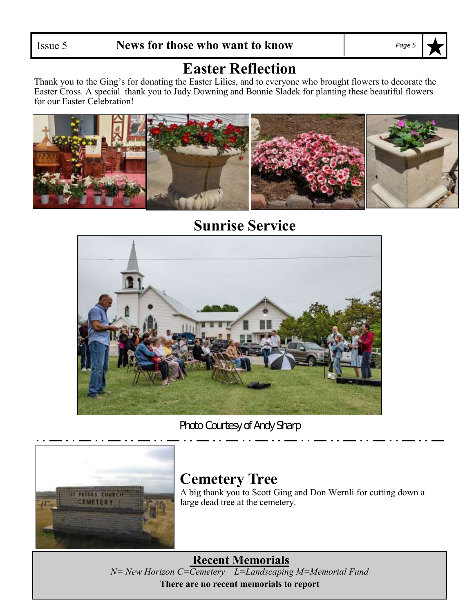## **Easter Reflection**

Thank you to the Ging's for donating the Easter Lilies, and to everyone who brought flowers to decorate the Easter Cross. A special thank you to Judy Downing and Bonnie Sladek for planting these beautiful flowers for our Easter Celebration!



## **Sunrise Service**



*Photo Courtesy of Andy Sharp*



#### **Cemetery Tree** A big thank you to Scott Ging and Don Wernli for cutting down a large dead tree at the cemetery.

**Recent Memorials** *N= New Horizon C=Cemetery L=Landscaping M=Memorial Fund* **There are no recent memorials to report**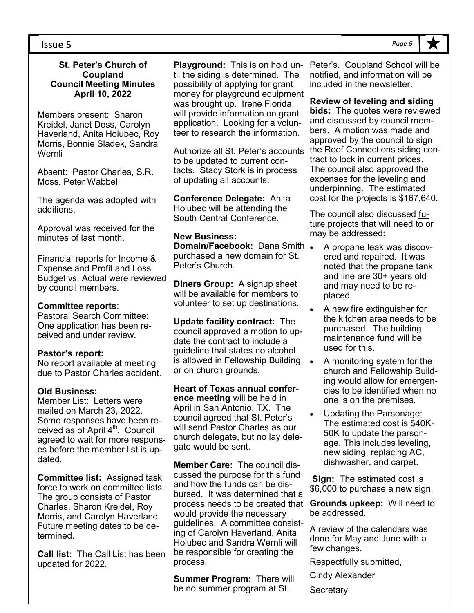#### **St. Peter's Church of Coupland Council Meeting Minutes April 10, 2022**

Members present: Sharon Kreidel, Janet Doss, Carolyn Haverland, Anita Holubec, Roy Morris, Bonnie Sladek, Sandra Wernli

Absent: Pastor Charles, S.R. Moss, Peter Wabbel

The agenda was adopted with additions.

Approval was received for the minutes of last month.

Financial reports for Income & Expense and Profit and Loss Budget vs. Actual were reviewed by council members.

#### **Committee reports**:

Pastoral Search Committee: One application has been received and under review.

#### **Pastor's report:**

No report available at meeting due to Pastor Charles accident.

#### **Old Business:**

Member List: Letters were mailed on March 23, 2022. Some responses have been received as of April  $4<sup>th</sup>$ . Council agreed to wait for more responses before the member list is updated.

**Committee list:** Assigned task force to work on committee lists. The group consists of Pastor Charles, Sharon Kreidel, Roy Morris, and Carolyn Haverland. Future meeting dates to be determined.

**Call list:** The Call List has been updated for 2022.

**Playground:** This is on hold un-Peter's. Coupland School will be til the siding is determined. The possibility of applying for grant money for playground equipment was brought up. Irene Florida will provide information on grant application. Looking for a volunteer to research the information.

Authorize all St. Peter's accounts to be updated to current contacts. Stacy Stork is in process of updating all accounts.

**Conference Delegate:** Anita Holubec will be attending the South Central Conference.

#### **New Business:**

**Domain/Facebook: Dana Smith.** purchased a new domain for St. Peter's Church.

**Diners Group:** A signup sheet will be available for members to volunteer to set up destinations.

**Update facility contract:** The council approved a motion to update the contract to include a guideline that states no alcohol is allowed in Fellowship Building or on church grounds.

**Heart of Texas annual conference meeting** will be held in April in San Antonio, TX. The council agreed that St. Peter's will send Pastor Charles as our church delegate, but no lay delegate would be sent.

**Member Care:** The council discussed the purpose for this fund and how the funds can be disbursed. It was determined that a process needs to be created that would provide the necessary guidelines. A committee consisting of Carolyn Haverland, Anita Holubec and Sandra Wernli will be responsible for creating the process.

**Summer Program:** There will be no summer program at St.

notified, and information will be included in the newsletter.

**Review of leveling and siding bids:** The quotes were reviewed and discussed by council members. A motion was made and approved by the council to sign the Roof Connections siding contract to lock in current prices. The council also approved the expenses for the leveling and underpinning. The estimated cost for the projects is \$167,640.

The council also discussed future projects that will need to or may be addressed:

- A propane leak was discovered and repaired. It was noted that the propane tank and line are 30+ years old and may need to be replaced.
- A new fire extinguisher for the kitchen area needs to be purchased. The building maintenance fund will be used for this.
- A monitoring system for the church and Fellowship Building would allow for emergencies to be identified when no one is on the premises.
- Updating the Parsonage: The estimated cost is \$40K-50K to update the parsonage. This includes leveling, new siding, replacing AC, dishwasher, and carpet.

**Sign:** The estimated cost is \$6,000 to purchase a new sign.

**Grounds upkeep:** Will need to be addressed.

A review of the calendars was done for May and June with a few changes.

Respectfully submitted,

Cindy Alexander

**Secretary**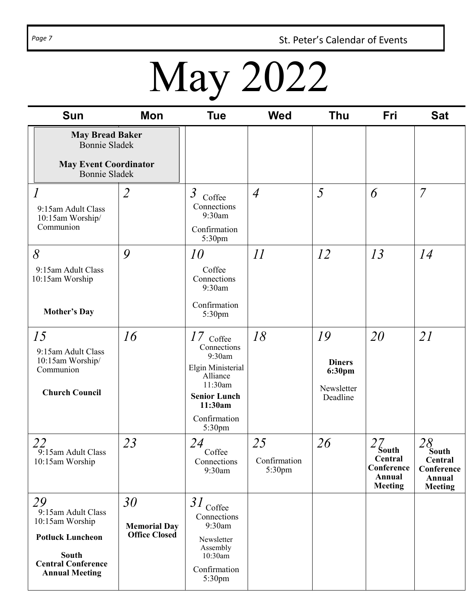Page 7 **St. Peter's Calendar of Events** 

# May 2022

| <b>Sun</b>                                                                                                                            | <b>Mon</b>                                        | <b>Tue</b>                                                                                                                                   | <b>Wed</b>                   | <b>Thu</b>                                              | Fri                                                                         | <b>Sat</b>                                                                            |
|---------------------------------------------------------------------------------------------------------------------------------------|---------------------------------------------------|----------------------------------------------------------------------------------------------------------------------------------------------|------------------------------|---------------------------------------------------------|-----------------------------------------------------------------------------|---------------------------------------------------------------------------------------|
| <b>May Bread Baker</b><br><b>Bonnie Sladek</b><br><b>May Event Coordinator</b><br><b>Bonnie Sladek</b>                                |                                                   |                                                                                                                                              |                              |                                                         |                                                                             |                                                                                       |
| $\overline{l}$<br>9:15am Adult Class<br>10:15am Worship/<br>Communion                                                                 | $\overline{2}$                                    | $\mathfrak{Z}$<br>Coffee<br>Connections<br>9:30am<br>Confirmation<br>5:30pm                                                                  | $\overline{4}$               | 5                                                       | 6                                                                           | $\overline{7}$                                                                        |
| 8<br>9:15am Adult Class<br>10:15am Worship<br><b>Mother's Day</b>                                                                     | 9                                                 | 10<br>Coffee<br>Connections<br>9:30am<br>Confirmation<br>5:30pm                                                                              | II                           | 12                                                      | 13                                                                          | 14                                                                                    |
| 15<br>9:15am Adult Class<br>10:15am Worship/<br>Communion<br><b>Church Council</b>                                                    | 16                                                | $17$ Coffee<br>Connections<br>9:30am<br>Elgin Ministerial<br>Alliance<br>11:30am<br><b>Senior Lunch</b><br>11:30am<br>Confirmation<br>5:30pm | 18                           | 19<br><b>Diners</b><br>6:30pm<br>Newsletter<br>Deadline | 20                                                                          | 21                                                                                    |
| 22<br>9:15am Adult Class<br>10:15am Worship                                                                                           | 23                                                | 24<br>Coffee<br>Connections<br>9:30am                                                                                                        | 25<br>Confirmation<br>5:30pm | 26                                                      | $2\zeta_{\text{outh}}$<br>Central<br>Conference<br>Annual<br><b>Meeting</b> | $\frac{28}{\text{South}}$<br>Central<br>Conference<br><b>Annual</b><br><b>Meeting</b> |
| 29<br>9:15am Adult Class<br>10:15am Worship<br><b>Potluck Luncheon</b><br>South<br><b>Central Conference</b><br><b>Annual Meeting</b> | 30<br><b>Memorial Day</b><br><b>Office Closed</b> | $31$ Coffee<br>Connections<br>9:30am<br>Newsletter<br>Assembly<br>10:30am<br>Confirmation<br>5:30pm                                          |                              |                                                         |                                                                             |                                                                                       |